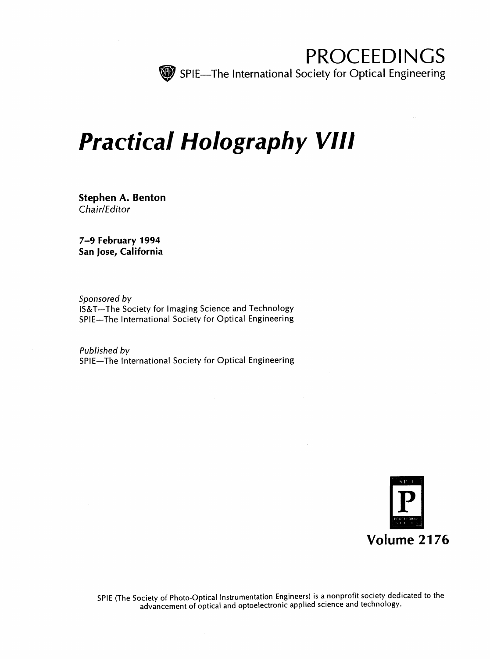

PROCEEDINGS SPIE—The International Society for Optical Engineering

# Practical Holography VIII

Stephen A. Benton Chair/Editor

7-9 February 1994 San Jose, California

Sponsored by IS&T—The Society for Imaging Science and Technology SPIE—The International Society for Optical Engineering

Published by SPIE—The International Society for Optical Engineering



SPIE (The Society of Photo-Optical Instrumentation Engineers) is <sup>a</sup> nonprofit society dedicated to the advancement of optical and optoelectronic applied science and technology.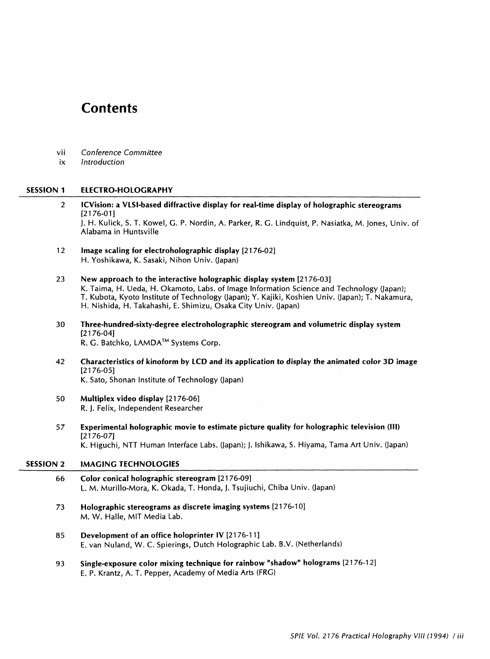# **Contents**

- vii Conference Committee
- ix Introduction

# SESSION <sup>1</sup> ELECTRO-HOLOGRAPHY

2 ICVision: a VLSI-based diffractive display for real-time display of holographic stereograms [2176-01] J. H. Kulick, S. T. Kowel, G. P. Nordin, A. Parker, R. G. Lindquist, P. Nasiatka, M. Jones, Univ. of Alabama in Huntsville 12 Image scaling for electroholographic display [2176-02] H. Yoshikawa, K. Sasaki, Nihon Univ. (japan) <sup>23</sup> New approach to the interactive holographic display system [2176-03] K. Taima, H. Ueda, H. Okamoto, Labs, of Image Information Science and Technology (Japan); T. Kubota, Kyoto Institute of Technology (Japan); Y. Kajiki, Koshien Univ. (Japan); T. Nakamura, H. Nishida, H. Takahashi, E. Shimizu, Osaka City Univ. (Japan) 30 Three-hundred-sixty-degree electroholographic stereogram and volumetric display system [2176-04] R. G. Batchko, LAMDA™ Systems Corp. <sup>42</sup> Characteristics of kinoform by LCD and its application to display the animated color 3D image [2176-05] K. Sato, Shonan Institute of Technology (Japan) 50 Multiplex video display [21 76-06] R. J. Felix, Independent Researcher 57 Experimental holographic movie to estimate picture quality for holographic television (III) [2176-07] K. Higuchi, NTT Human Interface Labs. (Japan); J. Ishikawa, S. Hiyama, Tama Art Univ. (Japan) SESSION <sup>2</sup> IMAGING TECHNOLOGIES 66 Color conical holographic stereogram [21 76-09] L. M. Murillo-Mora, K. Okada, T. Honda, J. Tsujiuchi, Chiba Univ. (Japan) 73 Holographic stereograms as discrete imaging systems [21 76-10] M. W. Halle, MIT Media Lab. 85 Development of an office holoprinter IV [2176-11] E. van Nuland, W. C. Spierings, Dutch Holographic Lab. B.V. (Netherlands) 93 Single-exposure color mixing technique for rainbow "shadow" holograms [21 76-12] E. P. Krantz, A. T. Pepper, Academy of Media Arts (FRG)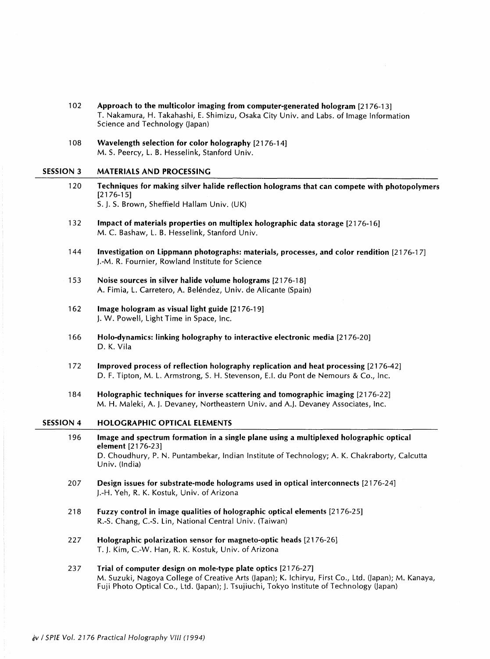- 102 Approach to the multicolor imaging from computer-generated hologram [21 76-13] T. Nakamura, H. Takahashi, E. Shimizu, Osaka City Univ. and Labs, of Image Information Science and Technology (Japan)
- 108 Wavelength selection for color holography [2176-14] M. S. Peercy, L. B. Hesselink, Stanford Univ.

#### SESSION <sup>3</sup> MATERIALS AND PROCESSING

- 120 Techniques for making silver halide reflection holograms that can compete with photopolymers [2176-15] S. J. S. Brown, Sheffield Hallam Univ. (UK)
- 132 Impact of materials properties on multiplex holographic data storage [21 76-16] M. C. Bashaw, L. B. Hesselink, Stanford Univ.
- 144 Investigation on Lippmann photographs: materials, processes, and color rendition [21 76-1 7] J.-M. R. Fournier, Rowland Institute for Science
- 153 Noise sources in silver halide volume holograms [21 76-18] A. Fimia, L. Carretero, A. Belendez, Univ. de Alicante (Spain)
- 162 Image hologram as visual light guide [21 76-19] J. W. Powell, Light Time in Space, Inc.
- 166 Holo-dynamics: linking holography to interactive electronic media [21 76-20] D. K. Vila
- 172 Improved process of reflection holography replication and heat processing [21 76-42] D. F. Tipton, M. L. Armstrong, S. H. Stevenson, E.I. du Pont de Nemours & Co., Inc.
- 184 Holographic techniques for inverse scattering and tomographic imaging [21 76-22] M. H. Maleki, A. J. Devaney, Northeastern Univ. and A.J. Devaney Associates, Inc.

## SESSION 4 HOLOGRAPHIC OPTICAL ELEMENTS

- 196 Image and spectrum formation in a single plane using a multiplexed holographic optical element [2176-23] D. Choudhury, P. N. Puntambekar, Indian Institute of Technology; A. K. Chakraborty, Calcutta Univ. (India)
- 207 Design issues for substrate-mode holograms used in optical interconnects [21 76-24] J.-H. Yeh, R. K. Kostuk, Univ. of Arizona
- 218 Fuzzy control in image qualities of holographic optical elements [21 76-25] R.-S. Chang, C.-S. Lin, National Central Univ. (Taiwan)
- 227 Holographic polarization sensor for magneto-optic heads [21 76-26] T. J. Kim, C.-W. Han, R. K. Kostuk, Univ. of Arizona
- 237 Trial of computer design on mole-type plate optics [21 76-27] M. Suzuki, Nagoya College of Creative Arts (Japan); K. Ichiryu, First Co., Ltd. (Japan); M. Kanaya, Fuji Photo Optical Co., Ltd. (Japan); J. Tsujiuchi, Tokyo Institute of Technology (Japan)